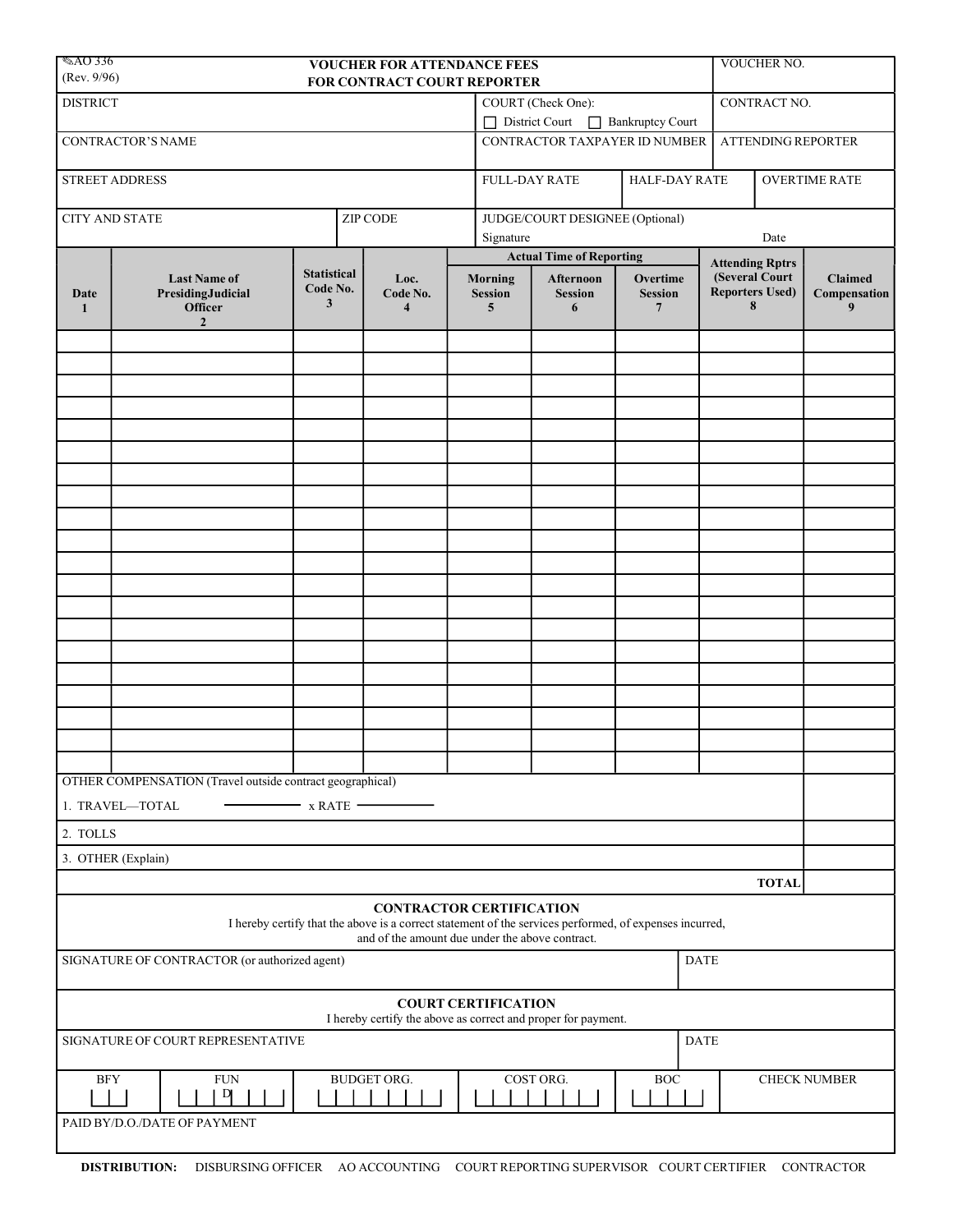| $\otimes$ AO 336<br><b>VOUCHER FOR ATTENDANCE FEES</b><br>(Rev. 9/96)<br>FOR CONTRACT COURT REPORTER |                                                                              |                                     |                                                                                             |  |                                                                  |                                  |                                                                                                         |                                                                         | VOUCHER NO.  |                                     |  |
|------------------------------------------------------------------------------------------------------|------------------------------------------------------------------------------|-------------------------------------|---------------------------------------------------------------------------------------------|--|------------------------------------------------------------------|----------------------------------|---------------------------------------------------------------------------------------------------------|-------------------------------------------------------------------------|--------------|-------------------------------------|--|
| <b>DISTRICT</b>                                                                                      |                                                                              |                                     |                                                                                             |  | COURT (Check One):                                               |                                  |                                                                                                         |                                                                         | CONTRACT NO. |                                     |  |
|                                                                                                      |                                                                              |                                     |                                                                                             |  | District Court Bankruptcy Court<br>CONTRACTOR TAXPAYER ID NUMBER |                                  |                                                                                                         |                                                                         |              |                                     |  |
|                                                                                                      | CONTRACTOR'S NAME                                                            |                                     |                                                                                             |  |                                                                  |                                  |                                                                                                         |                                                                         |              | ATTENDING REPORTER                  |  |
| STREET ADDRESS                                                                                       |                                                                              |                                     |                                                                                             |  | <b>FULL-DAY RATE</b><br>HALF-DAY RATE                            |                                  |                                                                                                         | <b>OVERTIME RATE</b>                                                    |              |                                     |  |
| <b>CITY AND STATE</b><br>ZIP CODE                                                                    |                                                                              |                                     |                                                                                             |  | JUDGE/COURT DESIGNEE (Optional)<br>Signature<br>Date             |                                  |                                                                                                         |                                                                         |              |                                     |  |
|                                                                                                      | <b>Last Name of</b><br>PresidingJudicial<br><b>Officer</b><br>$\overline{2}$ |                                     |                                                                                             |  |                                                                  | <b>Actual Time of Reporting</b>  |                                                                                                         |                                                                         |              |                                     |  |
| Date<br>1                                                                                            |                                                                              | <b>Statistical</b><br>Code No.<br>3 | Loc.<br>Code No.<br>$\overline{\mathbf{4}}$                                                 |  | <b>Morning</b><br><b>Session</b><br>5                            | Afternoon<br><b>Session</b><br>6 | Overtime<br><b>Session</b><br>$\overline{7}$                                                            | <b>Attending Rptrs</b><br>(Several Court<br><b>Reporters Used)</b><br>8 |              | <b>Claimed</b><br>Compensation<br>9 |  |
|                                                                                                      |                                                                              |                                     |                                                                                             |  |                                                                  |                                  |                                                                                                         |                                                                         |              |                                     |  |
|                                                                                                      |                                                                              |                                     |                                                                                             |  |                                                                  |                                  |                                                                                                         |                                                                         |              |                                     |  |
|                                                                                                      |                                                                              |                                     |                                                                                             |  |                                                                  |                                  |                                                                                                         |                                                                         |              |                                     |  |
|                                                                                                      |                                                                              |                                     |                                                                                             |  |                                                                  |                                  |                                                                                                         |                                                                         |              |                                     |  |
|                                                                                                      |                                                                              |                                     |                                                                                             |  |                                                                  |                                  |                                                                                                         |                                                                         |              |                                     |  |
|                                                                                                      |                                                                              |                                     |                                                                                             |  |                                                                  |                                  |                                                                                                         |                                                                         |              |                                     |  |
|                                                                                                      |                                                                              |                                     |                                                                                             |  |                                                                  |                                  |                                                                                                         |                                                                         |              |                                     |  |
|                                                                                                      |                                                                              |                                     |                                                                                             |  |                                                                  |                                  |                                                                                                         |                                                                         |              |                                     |  |
|                                                                                                      |                                                                              |                                     |                                                                                             |  |                                                                  |                                  |                                                                                                         |                                                                         |              |                                     |  |
|                                                                                                      |                                                                              |                                     |                                                                                             |  |                                                                  |                                  |                                                                                                         |                                                                         |              |                                     |  |
|                                                                                                      | OTHER COMPENSATION (Travel outside contract geographical)                    |                                     |                                                                                             |  |                                                                  |                                  |                                                                                                         |                                                                         |              |                                     |  |
| 1. TRAVEL-TOTAL<br>$-$ x RATE $-$                                                                    |                                                                              |                                     |                                                                                             |  |                                                                  |                                  |                                                                                                         |                                                                         |              |                                     |  |
| 2. TOLLS                                                                                             |                                                                              |                                     |                                                                                             |  |                                                                  |                                  |                                                                                                         |                                                                         |              |                                     |  |
| 3. OTHER (Explain)                                                                                   |                                                                              |                                     |                                                                                             |  |                                                                  |                                  |                                                                                                         |                                                                         |              |                                     |  |
| <b>TOTAL</b>                                                                                         |                                                                              |                                     |                                                                                             |  |                                                                  |                                  |                                                                                                         |                                                                         |              |                                     |  |
|                                                                                                      |                                                                              |                                     | <b>CONTRACTOR CERTIFICATION</b><br>and of the amount due under the above contract.          |  |                                                                  |                                  | I hereby certify that the above is a correct statement of the services performed, of expenses incurred, |                                                                         |              |                                     |  |
| SIGNATURE OF CONTRACTOR (or authorized agent)<br><b>DATE</b>                                         |                                                                              |                                     |                                                                                             |  |                                                                  |                                  |                                                                                                         |                                                                         |              |                                     |  |
|                                                                                                      |                                                                              |                                     | <b>COURT CERTIFICATION</b><br>I hereby certify the above as correct and proper for payment. |  |                                                                  |                                  |                                                                                                         |                                                                         |              |                                     |  |
| SIGNATURE OF COURT REPRESENTATIVE<br><b>DATE</b>                                                     |                                                                              |                                     |                                                                                             |  |                                                                  |                                  |                                                                                                         |                                                                         |              |                                     |  |
| <b>FUN</b><br>BUDGET ORG.<br>COST ORG.<br><b>BOC</b><br><b>BFY</b><br>$\mathbf{D}$                   |                                                                              |                                     |                                                                                             |  |                                                                  |                                  |                                                                                                         |                                                                         |              | <b>CHECK NUMBER</b>                 |  |
|                                                                                                      | PAID BY/D.O./DATE OF PAYMENT                                                 |                                     |                                                                                             |  |                                                                  |                                  |                                                                                                         |                                                                         |              |                                     |  |